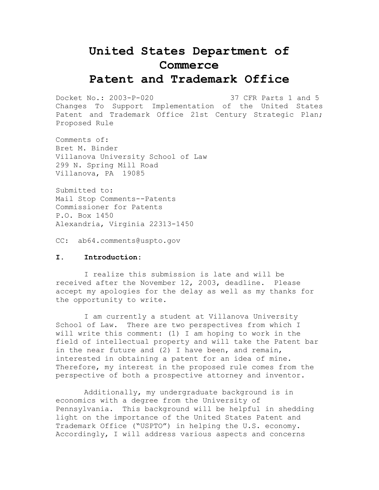# **United States Department of Commerce Patent and Trademark Office**

Docket No.: 2003-P-020 37 CFR Parts 1 and 5 Changes To Support Implementation of the United States Patent and Trademark Office 21st Century Strategic Plan; Proposed Rule

Comments of: Bret M. Binder Villanova University School of Law 299 N. Spring Mill Road Villanova, PA 19085

Submitted to: Mail Stop Comments--Patents Commissioner for Patents P.O. Box 1450 Alexandria, Virginia 22313-1450

CC: ab64.comments@uspto.gov

## **I. Introduction:**

I realize this submission is late and will be received after the November 12, 2003, deadline. Please accept my apologies for the delay as well as my thanks for the opportunity to write.

I am currently a student at Villanova University School of Law. There are two perspectives from which I will write this comment: (1) I am hoping to work in the field of intellectual property and will take the Patent bar in the near future and (2) I have been, and remain, interested in obtaining a patent for an idea of mine. Therefore, my interest in the proposed rule comes from the perspective of both a prospective attorney and inventor.

Additionally, my undergraduate background is in economics with a degree from the University of Pennsylvania. This background will be helpful in shedding light on the importance of the United States Patent and Trademark Office ("USPTO") in helping the U.S. economy. Accordingly, I will address various aspects and concerns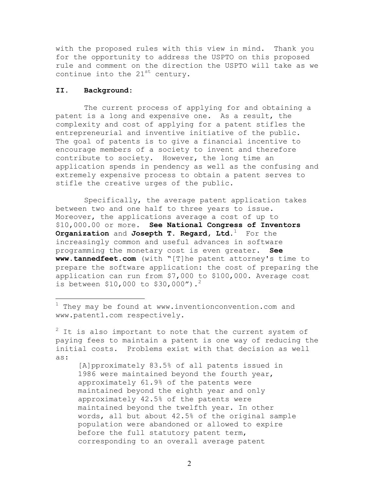with the proposed rules with this view in mind. Thank you for the opportunity to address the USPTO on this proposed rule and comment on the direction the USPTO will take as we continue into the  $21^{st}$  century.

## **II. Background:**

The current process of applying for and obtaining a patent is a long and expensive one. As a result, the complexity and cost of applying for a patent stifles the entrepreneurial and inventive initiative of the public. The goal of patents is to give a financial incentive to encourage members of a society to invent and therefore contribute to society. However, the long time an application spends in pendency as well as the confusing and extremely expensive process to obtain a patent serves to stifle the creative urges of the public.

Specifically, the average patent application takes between two and one half to three years to issue. Moreover, the applications average a cost of up to \$10,000.00 or more. **See National Congress of Inventors Organization** and **Josepth T. Regard, Ltd.**1 For the increasingly common and useful advances in software programming the monetary cost is even greater. **See www.tannedfeet.com** (with "[T]he patent attorney's time to prepare the software application: the cost of preparing the application can run from \$7,000 to \$100,000. Average cost is between \$10,000 to \$30,000").<sup>2</sup>

[A]pproximately 83.5% of all patents issued in 1986 were maintained beyond the fourth year, approximately 61.9% of the patents were maintained beyond the eighth year and only approximately 42.5% of the patents were maintained beyond the twelfth year. In other words, all but about 42.5% of the original sample population were abandoned or allowed to expire before the full statutory patent term, corresponding to an overall average patent

 $^1$  They may be found at www.inventionconvention.com and www.patent1.com respectively.

 $2$  It is also important to note that the current system of paying fees to maintain a patent is one way of reducing the initial costs. Problems exist with that decision as well as: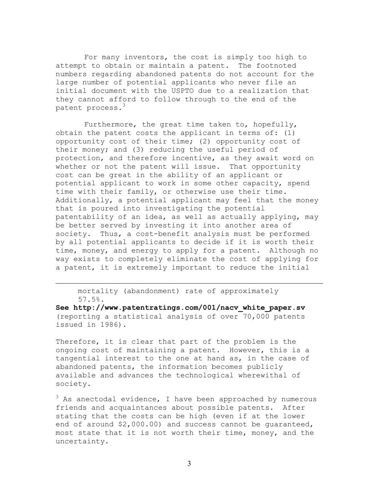For many inventors, the cost is simply too high to attempt to obtain or maintain a patent. The footnoted numbers regarding abandoned patents do not account for the large number of potential applicants who never file an initial document with the USPTO due to a realization that they cannot afford to follow through to the end of the patent process.<sup>3</sup>

Furthermore, the great time taken to, hopefully, obtain the patent costs the applicant in terms of: (1) opportunity cost of their time; (2) opportunity cost of their money; and (3) reducing the useful period of protection, and therefore incentive, as they await word on whether or not the patent will issue. That opportunity cost can be great in the ability of an applicant or potential applicant to work in some other capacity, spend time with their family, or otherwise use their time. Additionally, a potential applicant may feel that the money that is poured into investigating the potential patentability of an idea, as well as actually applying, may be better served by investing it into another area of society. Thus, a cost-benefit analysis must be performed by all potential applicants to decide if it is worth their time, money, and energy to apply for a patent. Although no way exists to completely eliminate the cost of applying for a patent, it is extremely important to reduce the initial

mortality (abandonment) rate of approximately 57.5%.

**See http://www.patentratings.com/001/nacv\_white\_paper.sv** (reporting a statistical analysis of over 70,000 patents issued in 1986).

Therefore, it is clear that part of the problem is the ongoing cost of maintaining a patent. However, this is a tangential interest to the one at hand as, in the case of abandoned patents, the information becomes publicly available and advances the technological wherewithal of society.

 $^3$  As anectodal evidence, I have been approached by numerous friends and acquaintances about possible patents. After stating that the costs can be high (even if at the lower end of around \$2,000.00) and success cannot be guaranteed, most state that it is not worth their time, money, and the uncertainty.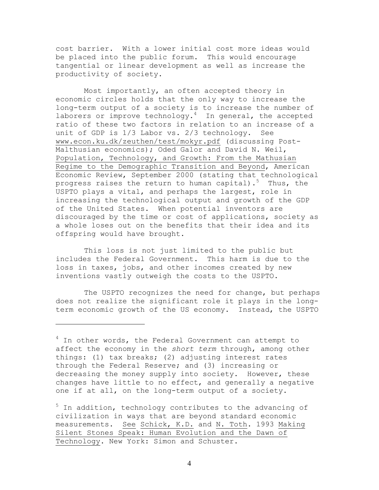cost barrier. With a lower initial cost more ideas would be placed into the public forum. This would encourage tangential or linear development as well as increase the productivity of society.

Most importantly, an often accepted theory in economic circles holds that the only way to increase the long-term output of a society is to increase the number of laborers or improve technology. $4$  In general, the accepted ratio of these two factors in relation to an increase of a unit of GDP is 1/3 Labor vs. 2/3 technology. See www.econ.ku.dk/zeuthen/test/mokyr.pdf (discussing Post-Malthusian economics); Oded Galor and David N. Weil, Population, Technology, and Growth: From the Mathusian Regime to the Demographic Transition and Beyond, American Economic Review, September 2000 (stating that technological progress raises the return to human capital).<sup>5</sup> Thus, the USPTO plays a vital, and perhaps the largest, role in increasing the technological output and growth of the GDP of the United States. When potential inventors are discouraged by the time or cost of applications, society as a whole loses out on the benefits that their idea and its offspring would have brought.

This loss is not just limited to the public but includes the Federal Government. This harm is due to the loss in taxes, jobs, and other incomes created by new inventions vastly outweigh the costs to the USPTO.

The USPTO recognizes the need for change, but perhaps does not realize the significant role it plays in the longterm economic growth of the US economy. Instead, the USPTO

<sup>5</sup> In addition, technology contributes to the advancing of civilization in ways that are beyond standard economic measurements. See Schick, K.D. and N. Toth. 1993 Making Silent Stones Speak: Human Evolution and the Dawn of Technology. New York: Simon and Schuster.

4

<sup>&</sup>lt;sup>4</sup> In other words, the Federal Government can attempt to affect the economy in the *short term* through, among other things: (1) tax breaks; (2) adjusting interest rates through the Federal Reserve; and (3) increasing or decreasing the money supply into society. However, these changes have little to no effect, and generally a negative one if at all, on the long-term output of a society.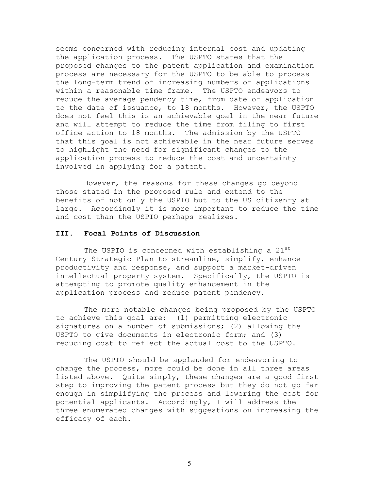seems concerned with reducing internal cost and updating the application process. The USPTO states that the proposed changes to the patent application and examination process are necessary for the USPTO to be able to process the long-term trend of increasing numbers of applications within a reasonable time frame. The USPTO endeavors to reduce the average pendency time, from date of application to the date of issuance, to 18 months. However, the USPTO does not feel this is an achievable goal in the near future and will attempt to reduce the time from filing to first office action to 18 months. The admission by the USPTO that this goal is not achievable in the near future serves to highlight the need for significant changes to the application process to reduce the cost and uncertainty involved in applying for a patent.

However, the reasons for these changes go beyond those stated in the proposed rule and extend to the benefits of not only the USPTO but to the US citizenry at large. Accordingly it is more important to reduce the time and cost than the USPTO perhaps realizes.

### **III. Focal Points of Discussion**

The USPTO is concerned with establishing a 21<sup>st</sup> Century Strategic Plan to streamline, simplify, enhance productivity and response, and support a market-driven intellectual property system. Specifically, the USPTO is attempting to promote quality enhancement in the application process and reduce patent pendency.

The more notable changes being proposed by the USPTO to achieve this goal are: (1) permitting electronic signatures on a number of submissions; (2) allowing the USPTO to give documents in electronic form; and (3) reducing cost to reflect the actual cost to the USPTO.

The USPTO should be applauded for endeavoring to change the process, more could be done in all three areas listed above. Quite simply, these changes are a good first step to improving the patent process but they do not go far enough in simplifying the process and lowering the cost for potential applicants. Accordingly, I will address the three enumerated changes with suggestions on increasing the efficacy of each.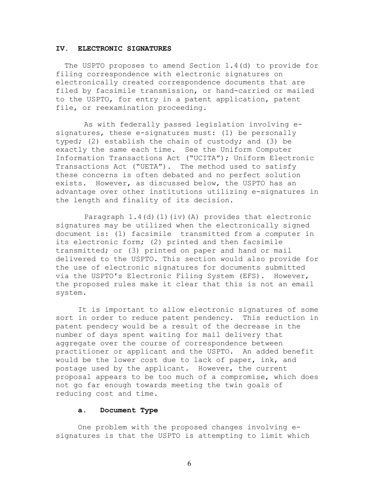## **IV. ELECTRONIC SIGNATURES**

The USPTO proposes to amend Section 1.4(d) to provide for filing correspondence with electronic signatures on electronically created correspondence documents that are filed by facsimile transmission, or hand-carried or mailed to the USPTO, for entry in a patent application, patent file, or reexamination proceeding.

As with federally passed legislation involving esignatures, these e-signatures must: (1) be personally typed; (2) establish the chain of custody; and (3) be exactly the same each time. See the Uniform Computer Information Transactions Act ("UCITA"); Uniform Electronic Transactions Act ("UETA"). The method used to satisfy these concerns is often debated and no perfect solution exists. However, as discussed below, the USPTO has an advantage over other institutions utilizing e-signatures in the length and finality of its decision.

Paragraph  $1.4$ (d)(1)(iv)(A) provides that electronic signatures may be utilized when the electronically signed document is: (1) facsimile transmitted from a computer in its electronic form; (2) printed and then facsimile transmitted; or (3) printed on paper and hand or mail delivered to the USPTO. This section would also provide for the use of electronic signatures for documents submitted via the USPTO's Electronic Filing System (EFS). However, the proposed rules make it clear that this is not an email system.

It is important to allow electronic signatures of some sort in order to reduce patent pendency. This reduction in patent pendecy would be a result of the decrease in the number of days spent waiting for mail delivery that aggregate over the course of correspondence between practitioner or applicant and the USPTO. An added benefit would be the lower cost due to lack of paper, ink, and postage used by the applicant. However, the current proposal appears to be too much of a compromise, which does not go far enough towards meeting the twin goals of reducing cost and time.

#### **a. Document Type**

One problem with the proposed changes involving esignatures is that the USPTO is attempting to limit which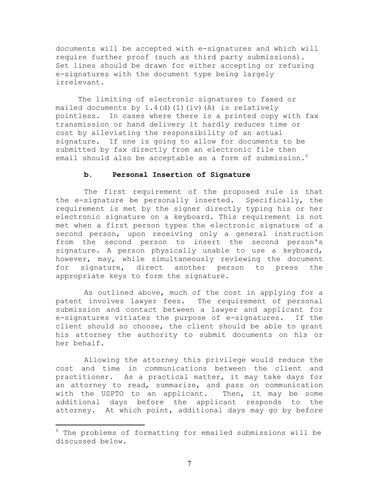documents will be accepted with e-signatures and which will require further proof (such as third party submissions). Set lines should be drawn for either accepting or refusing e-signatures with the document type being largely irrelevant.

The limiting of electronic signatures to faxed or mailed documents by  $1.4$  (d)(1)(iv)(A) is relatively pointless. In cases where there is a printed copy with fax transmission or hand delivery it hardly reduces time or cost by alleviating the responsibility of an actual signature. If one is going to allow for documents to be submitted by fax directly from an electronic file then email should also be acceptable as a form of submission.<sup>6</sup>

#### **b. Personal Insertion of Signature**

The first requirement of the proposed rule is that the e-signature be personally inserted. Specifically, the requirement is met by the signer directly typing his or her electronic signature on a keyboard. This requirement is not met when a first person types the electronic signature of a second person, upon receiving only a general instruction from the second person to insert the second person's signature. A person physically unable to use a keyboard, however, may, while simultaneously reviewing the document for signature, direct another person to press the appropriate keys to form the signature.

As outlined above, much of the cost in applying for a patent involves lawyer fees. The requirement of personal submission and contact between a lawyer and applicant for e-signatures vitiates the purpose of e-signatures. If the client should so choose, the client should be able to grant his attorney the authority to submit documents on his or her behalf.

Allowing the attorney this privilege would reduce the cost and time in communications between the client and practitioner. As a practical matter, it may take days for an attorney to read, summarize, and pass on communication with the USPTO to an applicant. Then, it may be some additional days before the applicant responds to the attorney. At which point, additional days may go by before

 $6$  The problems of formatting for emailed submissions will be discussed below.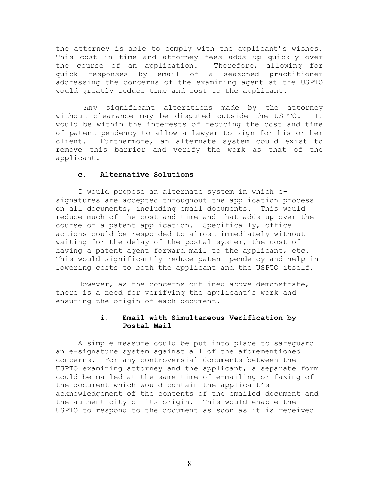the attorney is able to comply with the applicant's wishes. This cost in time and attorney fees adds up quickly over the course of an application. Therefore, allowing for quick responses by email of a seasoned practitioner addressing the concerns of the examining agent at the USPTO would greatly reduce time and cost to the applicant.

Any significant alterations made by the attorney without clearance may be disputed outside the USPTO. It would be within the interests of reducing the cost and time of patent pendency to allow a lawyer to sign for his or her client. Furthermore, an alternate system could exist to remove this barrier and verify the work as that of the applicant.

## **c. Alternative Solutions**

I would propose an alternate system in which esignatures are accepted throughout the application process on all documents, including email documents. This would reduce much of the cost and time and that adds up over the course of a patent application. Specifically, office actions could be responded to almost immediately without waiting for the delay of the postal system, the cost of having a patent agent forward mail to the applicant, etc. This would significantly reduce patent pendency and help in lowering costs to both the applicant and the USPTO itself.

However, as the concerns outlined above demonstrate, there is a need for verifying the applicant's work and ensuring the origin of each document.

## **i. Email with Simultaneous Verification by Postal Mail**

A simple measure could be put into place to safeguard an e-signature system against all of the aforementioned concerns. For any controversial documents between the USPTO examining attorney and the applicant, a separate form could be mailed at the same time of e-mailing or faxing of the document which would contain the applicant's acknowledgement of the contents of the emailed document and the authenticity of its origin. This would enable the USPTO to respond to the document as soon as it is received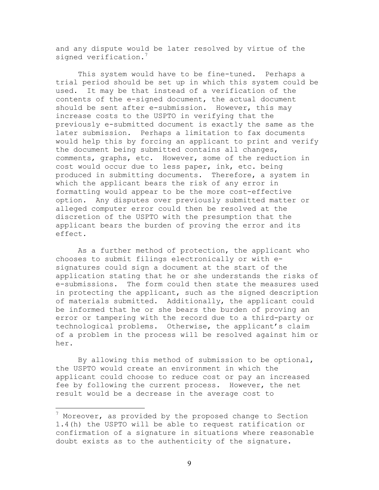and any dispute would be later resolved by virtue of the signed verification.

This system would have to be fine-tuned. Perhaps a trial period should be set up in which this system could be used. It may be that instead of a verification of the contents of the e-signed document, the actual document should be sent after e-submission. However, this may increase costs to the USPTO in verifying that the previously e-submitted document is exactly the same as the later submission. Perhaps a limitation to fax documents would help this by forcing an applicant to print and verify the document being submitted contains all changes, comments, graphs, etc. However, some of the reduction in cost would occur due to less paper, ink, etc. being produced in submitting documents. Therefore, a system in which the applicant bears the risk of any error in formatting would appear to be the more cost-effective option. Any disputes over previously submitted matter or alleged computer error could then be resolved at the discretion of the USPTO with the presumption that the applicant bears the burden of proving the error and its effect.

As a further method of protection, the applicant who chooses to submit filings electronically or with esignatures could sign a document at the start of the application stating that he or she understands the risks of e-submissions. The form could then state the measures used in protecting the applicant, such as the signed description of materials submitted. Additionally, the applicant could be informed that he or she bears the burden of proving an error or tampering with the record due to a third-party or technological problems. Otherwise, the applicant's claim of a problem in the process will be resolved against him or her.

By allowing this method of submission to be optional, the USPTO would create an environment in which the applicant could choose to reduce cost or pay an increased fee by following the current process. However, the net result would be a decrease in the average cost to

 $^7$  Moreover, as provided by the proposed change to Section 1.4(h) the USPTO will be able to request ratification or confirmation of a signature in situations where reasonable doubt exists as to the authenticity of the signature.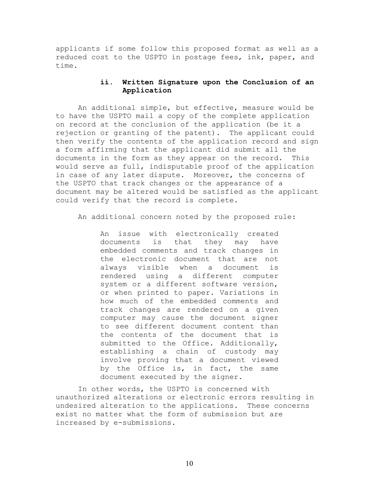applicants if some follow this proposed format as well as a reduced cost to the USPTO in postage fees, ink, paper, and time.

# **ii. Written Signature upon the Conclusion of an Application**

An additional simple, but effective, measure would be to have the USPTO mail a copy of the complete application on record at the conclusion of the application (be it a rejection or granting of the patent). The applicant could then verify the contents of the application record and sign a form affirming that the applicant did submit all the documents in the form as they appear on the record. This would serve as full, indisputable proof of the application in case of any later dispute. Moreover, the concerns of the USPTO that track changes or the appearance of a document may be altered would be satisfied as the applicant could verify that the record is complete.

An additional concern noted by the proposed rule:

An issue with electronically created documents is that they may have embedded comments and track changes in the electronic document that are not always visible when a document is rendered using a different computer system or a different software version, or when printed to paper. Variations in how much of the embedded comments and track changes are rendered on a given computer may cause the document signer to see different document content than the contents of the document that is submitted to the Office. Additionally, establishing a chain of custody may involve proving that a document viewed by the Office is, in fact, the same document executed by the signer.

In other words, the USPTO is concerned with unauthorized alterations or electronic errors resulting in undesired alteration to the applications. These concerns exist no matter what the form of submission but are increased by e-submissions.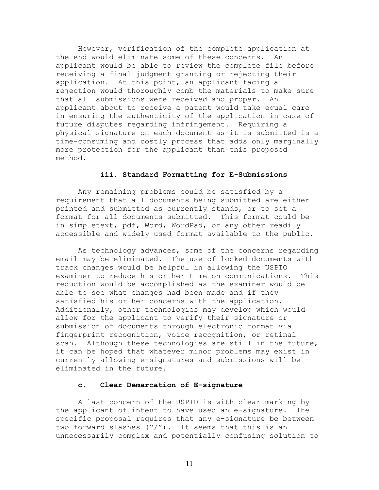However, verification of the complete application at the end would eliminate some of these concerns. An applicant would be able to review the complete file before receiving a final judgment granting or rejecting their application. At this point, an applicant facing a rejection would thoroughly comb the materials to make sure that all submissions were received and proper. An applicant about to receive a patent would take equal care in ensuring the authenticity of the application in case of future disputes regarding infringement. Requiring a physical signature on each document as it is submitted is a time-consuming and costly process that adds only marginally more protection for the applicant than this proposed method.

### **iii. Standard Formatting for E-Submissions**

Any remaining problems could be satisfied by a requirement that all documents being submitted are either printed and submitted as currently stands, or to set a format for all documents submitted. This format could be in simpletext, pdf, Word, WordPad, or any other readily accessible and widely used format available to the public.

As technology advances, some of the concerns regarding email may be eliminated. The use of locked-documents with track changes would be helpful in allowing the USPTO examiner to reduce his or her time on communications. This reduction would be accomplished as the examiner would be able to see what changes had been made and if they satisfied his or her concerns with the application. Additionally, other technologies may develop which would allow for the applicant to verify their signature or submission of documents through electronic format via fingerprint recognition, voice recognition, or retinal scan. Although these technologies are still in the future, it can be hoped that whatever minor problems may exist in currently allowing e-signatures and submissions will be eliminated in the future.

## **c. Clear Demarcation of E-signature**

A last concern of the USPTO is with clear marking by the applicant of intent to have used an e-signature. The specific proposal requires that any e-signature be between two forward slashes  $(\sqrt[n]{})$ . It seems that this is an unnecessarily complex and potentially confusing solution to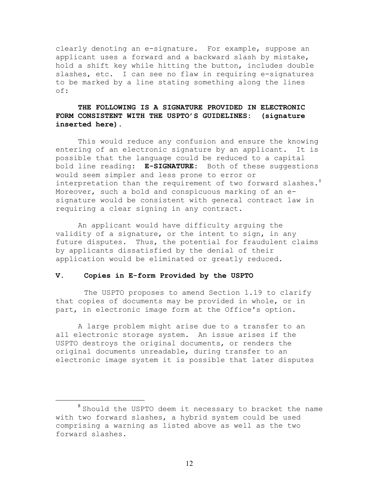clearly denoting an e-signature. For example, suppose an applicant uses a forward and a backward slash by mistake, hold a shift key while hitting the button, includes double slashes, etc. I can see no flaw in requiring e-signatures to be marked by a line stating something along the lines of:

# **THE FOLLOWING IS A SIGNATURE PROVIDED IN ELECTRONIC FORM CONSISTENT WITH THE USPTO'S GUIDELINES: (signature inserted here)**.

This would reduce any confusion and ensure the knowing entering of an electronic signature by an applicant. It is possible that the language could be reduced to a capital bold line reading: **E-SIGNATURE:** Both of these suggestions would seem simpler and less prone to error or interpretation than the requirement of two forward slashes.<sup>8</sup> Moreover, such a bold and conspicuous marking of an esignature would be consistent with general contract law in requiring a clear signing in any contract.

An applicant would have difficulty arguing the validity of a signature, or the intent to sign, in any future disputes. Thus, the potential for fraudulent claims by applicants dissatisfied by the denial of their application would be eliminated or greatly reduced.

#### **V. Copies in E-form Provided by the USPTO**

The USPTO proposes to amend Section 1.19 to clarify that copies of documents may be provided in whole, or in part, in electronic image form at the Office's option.

A large problem might arise due to a transfer to an all electronic storage system. An issue arises if the USPTO destroys the original documents, or renders the original documents unreadable, during transfer to an electronic image system it is possible that later disputes

<sup>&</sup>lt;sup>8</sup> Should the USPTO deem it necessary to bracket the name with two forward slashes, a hybrid system could be used comprising a warning as listed above as well as the two forward slashes.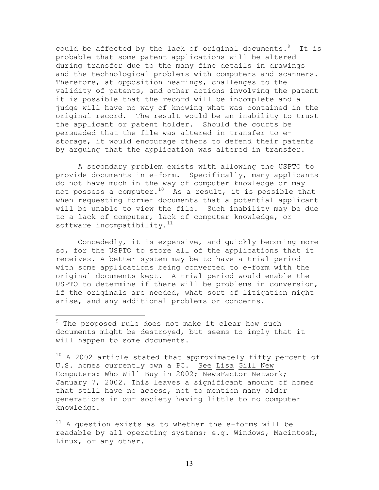could be affected by the lack of original documents. It is probable that some patent applications will be altered during transfer due to the many fine details in drawings and the technological problems with computers and scanners. Therefore, at opposition hearings, challenges to the validity of patents, and other actions involving the patent it is possible that the record will be incomplete and a judge will have no way of knowing what was contained in the original record. The result would be an inability to trust the applicant or patent holder. Should the courts be persuaded that the file was altered in transfer to estorage, it would encourage others to defend their patents by arguing that the application was altered in transfer.

A secondary problem exists with allowing the USPTO to provide documents in e-form. Specifically, many applicants do not have much in the way of computer knowledge or may not possess a computer.<sup>10</sup> As a result, it is possible that when requesting former documents that a potential applicant will be unable to view the file. Such inability may be due to a lack of computer, lack of computer knowledge, or software incompatibility. $11$ 

Concededly, it is expensive, and quickly becoming more so, for the USPTO to store all of the applications that it receives. A better system may be to have a trial period with some applications being converted to e-form with the original documents kept. A trial period would enable the USPTO to determine if there will be problems in conversion, if the originals are needed, what sort of litigation might arise, and any additional problems or concerns.

<sup>&</sup>lt;sup>9</sup> The proposed rule does not make it clear how such documents might be destroyed, but seems to imply that it will happen to some documents.

 $10$  A 2002 article stated that approximately fifty percent of U.S. homes currently own a PC. See Lisa Gill New Computers: Who Will Buy in 2002; NewsFactor Network; January 7, 2002. This leaves a significant amount of homes that still have no access, not to mention many older generations in our society having little to no computer knowledge.

 $11$  A question exists as to whether the e-forms will be readable by all operating systems; e.g. Windows, Macintosh, Linux, or any other.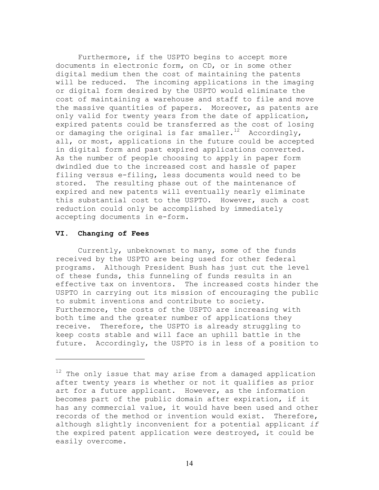Furthermore, if the USPTO begins to accept more documents in electronic form, on CD, or in some other digital medium then the cost of maintaining the patents will be reduced. The incoming applications in the imaging or digital form desired by the USPTO would eliminate the cost of maintaining a warehouse and staff to file and move the massive quantities of papers. Moreover, as patents are only valid for twenty years from the date of application, expired patents could be transferred as the cost of losing or damaging the original is far smaller.<sup>12</sup> Accordingly, all, or most, applications in the future could be accepted in digital form and past expired applications converted. As the number of people choosing to apply in paper form dwindled due to the increased cost and hassle of paper filing versus e-filing, less documents would need to be stored. The resulting phase out of the maintenance of expired and new patents will eventually nearly eliminate this substantial cost to the USPTO. However, such a cost reduction could only be accomplished by immediately accepting documents in e-form.

#### **VI. Changing of Fees**

Currently, unbeknownst to many, some of the funds received by the USPTO are being used for other federal programs. Although President Bush has just cut the level of these funds, this funneling of funds results in an effective tax on inventors. The increased costs hinder the USPTO in carrying out its mission of encouraging the public to submit inventions and contribute to society. Furthermore, the costs of the USPTO are increasing with both time and the greater number of applications they receive. Therefore, the USPTO is already struggling to keep costs stable and will face an uphill battle in the future. Accordingly, the USPTO is in less of a position to

 $12$  The only issue that may arise from a damaged application after twenty years is whether or not it qualifies as prior art for a future applicant. However, as the information becomes part of the public domain after expiration, if it has any commercial value, it would have been used and other records of the method or invention would exist. Therefore, although slightly inconvenient for a potential applicant *if*  the expired patent application were destroyed, it could be easily overcome.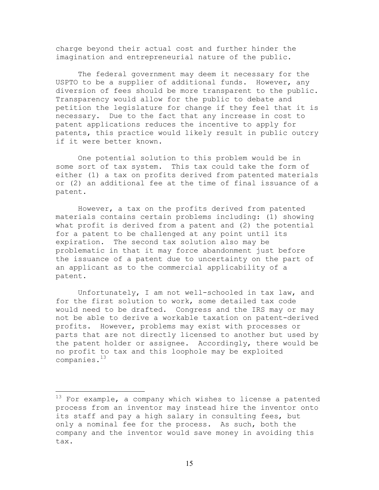charge beyond their actual cost and further hinder the imagination and entrepreneurial nature of the public.

The federal government may deem it necessary for the USPTO to be a supplier of additional funds. However, any diversion of fees should be more transparent to the public. Transparency would allow for the public to debate and petition the legislature for change if they feel that it is necessary. Due to the fact that any increase in cost to patent applications reduces the incentive to apply for patents, this practice would likely result in public outcry if it were better known.

One potential solution to this problem would be in some sort of tax system. This tax could take the form of either (1) a tax on profits derived from patented materials or (2) an additional fee at the time of final issuance of a patent.

However, a tax on the profits derived from patented materials contains certain problems including: (1) showing what profit is derived from a patent and (2) the potential for a patent to be challenged at any point until its expiration. The second tax solution also may be problematic in that it may force abandonment just before the issuance of a patent due to uncertainty on the part of an applicant as to the commercial applicability of a patent.

Unfortunately, I am not well-schooled in tax law, and for the first solution to work, some detailed tax code would need to be drafted. Congress and the IRS may or may not be able to derive a workable taxation on patent-derived profits. However, problems may exist with processes or parts that are not directly licensed to another but used by the patent holder or assignee. Accordingly, there would be no profit to tax and this loophole may be exploited companies.<sup>13</sup>

 $13$  For example, a company which wishes to license a patented process from an inventor may instead hire the inventor onto its staff and pay a high salary in consulting fees, but only a nominal fee for the process. As such, both the company and the inventor would save money in avoiding this tax.